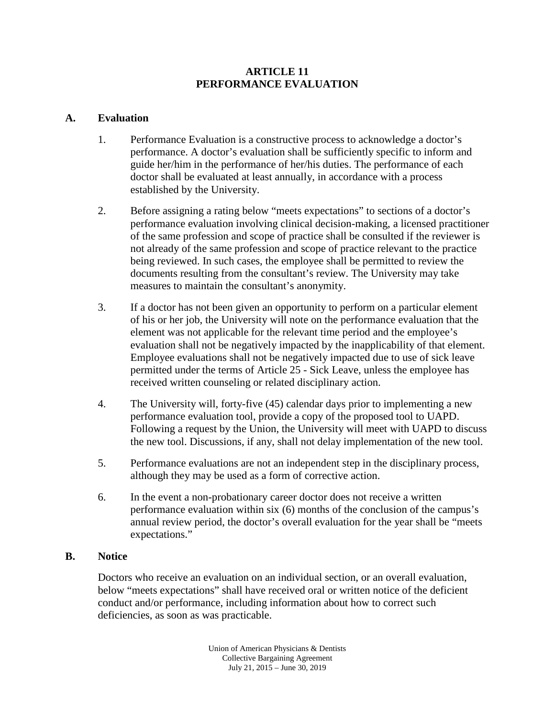## **ARTICLE 11 PERFORMANCE EVALUATION**

## **A. Evaluation**

- 1. Performance Evaluation is a constructive process to acknowledge a doctor's performance. A doctor's evaluation shall be sufficiently specific to inform and guide her/him in the performance of her/his duties. The performance of each doctor shall be evaluated at least annually, in accordance with a process established by the University.
- 2. Before assigning a rating below "meets expectations" to sections of a doctor's performance evaluation involving clinical decision-making, a licensed practitioner of the same profession and scope of practice shall be consulted if the reviewer is not already of the same profession and scope of practice relevant to the practice being reviewed. In such cases, the employee shall be permitted to review the documents resulting from the consultant's review. The University may take measures to maintain the consultant's anonymity.
- 3. If a doctor has not been given an opportunity to perform on a particular element of his or her job, the University will note on the performance evaluation that the element was not applicable for the relevant time period and the employee's evaluation shall not be negatively impacted by the inapplicability of that element. Employee evaluations shall not be negatively impacted due to use of sick leave permitted under the terms of Article 25 - Sick Leave, unless the employee has received written counseling or related disciplinary action.
- 4. The University will, forty-five (45) calendar days prior to implementing a new performance evaluation tool, provide a copy of the proposed tool to UAPD. Following a request by the Union, the University will meet with UAPD to discuss the new tool. Discussions, if any, shall not delay implementation of the new tool.
- 5. Performance evaluations are not an independent step in the disciplinary process, although they may be used as a form of corrective action.
- 6. In the event a non-probationary career doctor does not receive a written performance evaluation within six (6) months of the conclusion of the campus's annual review period, the doctor's overall evaluation for the year shall be "meets expectations."

#### **B. Notice**

Doctors who receive an evaluation on an individual section, or an overall evaluation, below "meets expectations" shall have received oral or written notice of the deficient conduct and/or performance, including information about how to correct such deficiencies, as soon as was practicable.